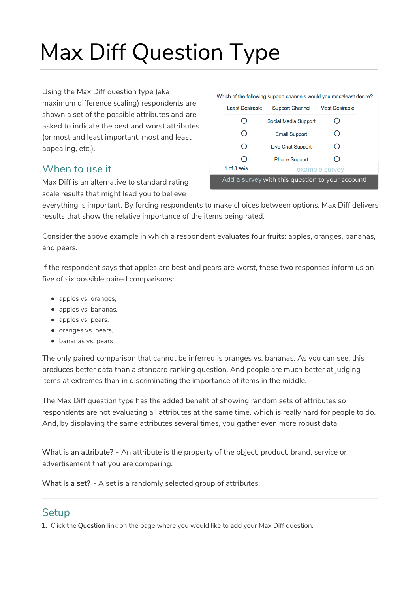# Max Diff Question Type

Using the Max Diff question type (aka maximum difference scaling) respondents are shown a set of the possible attributes and are asked to indicate the best and worst attributes (or most and least important, most and least appealing, etc.).

### When to use it

Max Diff is an alternative to standard rating scale results that might lead you to believe

|                        | Which of the following support channels would you most/least desire? |                       |
|------------------------|----------------------------------------------------------------------|-----------------------|
| <b>Least Desirable</b> | <b>Support Channel</b>                                               | <b>Most Desirable</b> |
|                        | Social Media Support                                                 |                       |
| ( )                    | <b>Email Support</b>                                                 | 0                     |
| ∩                      | <b>Live Chat Support</b>                                             | 0                     |
|                        | <b>Phone Support</b>                                                 | Ω                     |
| 1 of $3$ se's          |                                                                      | example survey        |

everything is important. By forcing respondents to make choices between options, Max Diff delivers results that show the relative importance of the items being rated.

Consider the above example in which a respondent evaluates four fruits: apples, oranges, bananas, and pears.

If the respondent says that apples are best and pears are worst, these two responses inform us on five of six possible paired comparisons:

- apples vs. oranges,
- apples vs. bananas,
- apples vs. pears,
- oranges vs. pears,
- bananas vs. pears

The only paired comparison that cannot be inferred is oranges vs. bananas. As you can see, this produces better data than a standard ranking question. And people are much better at judging items at extremes than in discriminating the importance of items in the middle.

The Max Diff question type has the added benefit of showing random sets of attributes so respondents are not evaluating all attributes at the same time, which is really hard for people to do. And, by displaying the same attributes several times, you gather even more robust data.

What is an attribute? - An attribute is the property of the object, product, brand, service or advertisement that you are comparing.

What is a set? - A set is a randomly selected group of attributes.

### **Setup**

1. Click the Question link on the page where you would like to add your Max Diff question.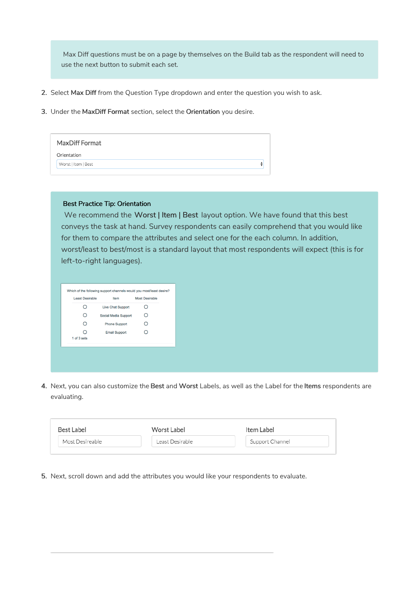Max Diff questions must be on a page by themselves on the Build tab as the respondent will need to use the next button to submit each set.

- 2. Select Max Diff from the Question Type dropdown and enter the question you wish to ask.
- 3. Under the MaxDiff Format section, select the Orientation you desire.

|             | MaxDiff Format      |  |
|-------------|---------------------|--|
| Orientation |                     |  |
|             | Worst   Item   Best |  |
|             |                     |  |

#### Best Practice Tip: Orientation

We recommend the Worst | Item | Best layout option. We have found that this best conveys the task at hand. Survey respondents can easily comprehend that you would like for them to compare the attributes and select one for the each column. In addition, worst/least to best/most is a standard layout that most respondents will expect (this is for left-to-right languages).

| ∩                | <b>Live Chat Support</b> | ∩ |
|------------------|--------------------------|---|
| O                | Social Media Support     | ∩ |
| ∩                | <b>Phone Support</b>     | ∩ |
| ∩<br>1 of 3 sets | <b>Email Support</b>     | ∩ |

4. Next, you can also customize the Best and Worst Labels, as well as the Label for the Items respondents are evaluating.

| Best Label      | Worst Label     | Item Label      |  |
|-----------------|-----------------|-----------------|--|
| Most Desireable | Least Desirable | Support Channel |  |

5. Next, scroll down and add the attributes you would like your respondents to evaluate.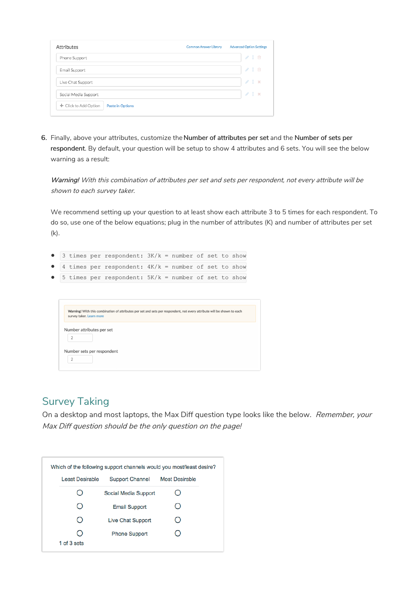| Attributes                                       | <b>Advanced Option Settings</b><br><b>Common Answer Library</b> |
|--------------------------------------------------|-----------------------------------------------------------------|
| Phone Support                                    | ╱ 1 面                                                           |
| Email Support                                    | /10                                                             |
| Live Chat Support                                | P<br>$1 \times$                                                 |
| Social Media Support                             | $\mathscr{L}$<br>$1 - x$                                        |
| + Click to Add Option<br><b>Paste in Options</b> |                                                                 |

6. Finally, above your attributes, customize theNumber of attributes per set and the Number of sets per respondent. By default, your question will be setup to show 4 attributes and 6 sets. You will see the below warning as a result:

Warning! With this combination of attributes per set and sets per respondent, not every attribute will be shown to each survey taker.

We recommend setting up your question to at least show each attribute 3 to 5 times for each respondent. To do so, use one of the below equations; plug in the number of attributes (K) and number of attributes per set (k).

- $\bullet$  3 times per respondent:  $3K/k =$  number of set to show
- $\bullet$  4 times per respondent:  $4K/k =$  number of set to show
- $\bullet$  5 times per respondent:  $5K/k =$  number of set to show

| survey taker. Learn more  | Warning! With this combination of attributes per set and sets per respondent, not every attribute will be shown to each |
|---------------------------|-------------------------------------------------------------------------------------------------------------------------|
| Number attributes per set |                                                                                                                         |
| 2                         |                                                                                                                         |
|                           | Number sets per respondent                                                                                              |
| ≘                         |                                                                                                                         |

### Survey Taking

On a desktop and most laptops, the Max Diff question type looks like the below. Remember, your Max Diff question should be the only question on the page!

|                 | Which of the following support channels would you most/least desire? |                       |
|-----------------|----------------------------------------------------------------------|-----------------------|
| Least Desirable | <b>Support Channel</b>                                               | <b>Most Desirable</b> |
|                 | Social Media Support                                                 |                       |
|                 | <b>Email Support</b>                                                 |                       |
|                 | Live Chat Support                                                    |                       |
|                 | <b>Phone Support</b>                                                 |                       |
| 1 of 3 sets     |                                                                      |                       |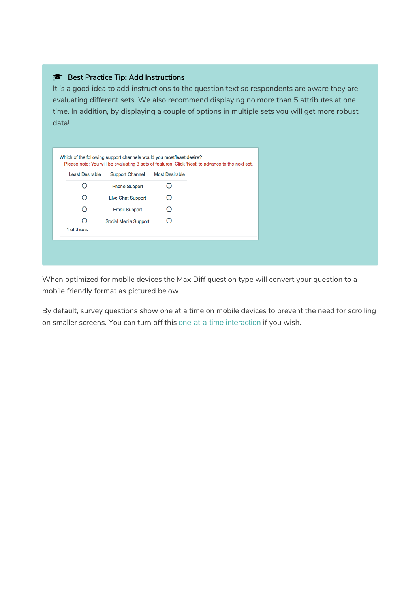### Best Practice Tip: Add Instructions

It is a good idea to add instructions to the question text so respondents are aware they are evaluating different sets. We also recommend displaying no more than 5 attributes at one time. In addition, by displaying a couple of options in multiple sets you will get more robust data!

| <b>Least Desirable</b> | <b>Support Channel</b>   | <b>Most Desirable</b> |  |
|------------------------|--------------------------|-----------------------|--|
|                        | <b>Phone Support</b>     |                       |  |
| ∩                      | <b>Live Chat Support</b> |                       |  |
|                        | <b>Email Support</b>     |                       |  |
| Ω                      | Social Media Support     |                       |  |
| 1 of 3 sets            |                          |                       |  |

When optimized for mobile devices the Max Diff question type will convert your question to a mobile friendly format as pictured below.

By default, survey questions show one at a time on mobile devices to prevent the need for scrolling on smaller screens. You can turn off this one-at-a-time interaction if you wish.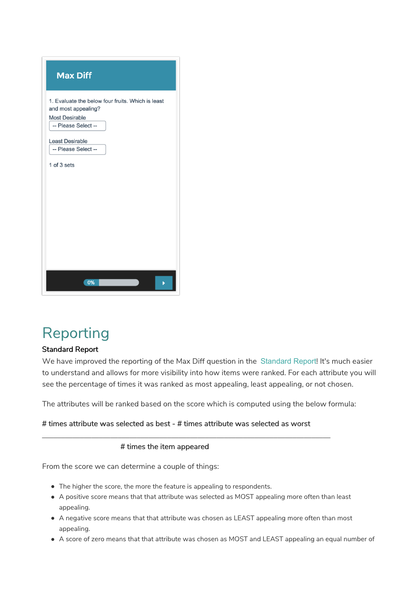| <b>Max Diff</b>                                                                                                          |
|--------------------------------------------------------------------------------------------------------------------------|
| 1. Evaluate the below four fruits. Which is least<br>and most appealing?<br><b>Most Desirable</b><br>-- Please Select -- |
| <b>Least Desirable</b><br>-- Please Select --<br>1 of 3 sets                                                             |
| 0%                                                                                                                       |

# Reporting

### Standard Report

We have improved the reporting of the Max Diff question in the Standard Report! It's much easier to understand and allows for more visibility into how items were ranked. For each attribute you will see the percentage of times it was ranked as most appealing, least appealing, or not chosen.

The attributes will be ranked based on the score which is computed using the below formula:

#### # times attribute was selected as best - # times attribute was selected as worst

\_\_\_\_\_\_\_\_\_\_\_\_\_\_\_\_\_\_\_\_\_\_\_\_\_\_\_\_\_\_\_\_\_\_\_\_\_\_\_\_\_\_\_\_\_\_\_\_\_\_\_\_\_\_\_\_\_\_\_\_\_\_\_\_\_\_\_\_\_\_\_\_\_\_\_\_

#### # times the item appeared

From the score we can determine a couple of things:

- The higher the score, the more the feature is appealing to respondents.
- A positive score means that that attribute was selected as MOST appealing more often than least appealing.
- A negative score means that that attribute was chosen as LEAST appealing more often than most appealing.
- A score of zero means that that attribute was chosen as MOST and LEAST appealing an equal number of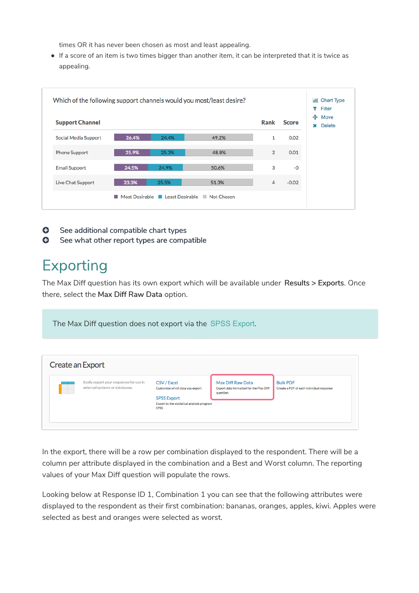times OR it has never been chosen as most and least appealing.

If a score of an item is two times bigger than another item, it can be interpreted that it is twice as appealing.

| <b>Support Channel</b> |       |       |       | Rank           | <b>Score</b> | ÷<br>Move<br>×<br><b>Delete</b> |
|------------------------|-------|-------|-------|----------------|--------------|---------------------------------|
| Social Media Support   | 26.4% | 24.4% | 49.2% | 1              | 0.02         |                                 |
| <b>Phone Support</b>   | 25.9% | 25.3% | 48.8% | $\overline{2}$ | 0.01         |                                 |
| <b>Email Support</b>   | 24.5% | 24.9% | 50.6% | 3              | $-0$         |                                 |
| Live Chat Support      | 23.3% | 25.5% | 51.3% | 4              | $-0.02$      |                                 |

- **O** See additional compatible chart types
- **G** See what other report types are compatible

## Exporting

The Max Diff question has its own export which will be available under Results > Exports. Once there, select the Max Diff Raw Data option.

The Max Diff question does not export via the SPSS Export.

| Create an Export |                                                                           |                                                                                                                                   |                                                                          |                                                             |
|------------------|---------------------------------------------------------------------------|-----------------------------------------------------------------------------------------------------------------------------------|--------------------------------------------------------------------------|-------------------------------------------------------------|
|                  | Easily export your responses for use in<br>external systems or databases. | CSV / Excel<br>Customize which data you export<br><b>SPSS Export</b><br>Export to the statistical analysis program<br><b>SPSS</b> | Max Diff Raw Data<br>Export data formatted for the Max DIff<br>question. | <b>Bulk PDF</b><br>Create a PDF of each individual response |

In the export, there will be a row per combination displayed to the respondent. There will be a column per attribute displayed in the combination and a Best and Worst column. The reporting values of your Max Diff question will populate the rows.

Looking below at Response ID 1, Combination 1 you can see that the following attributes were displayed to the respondent as their first combination: bananas, oranges, apples, kiwi. Apples were selected as best and oranges were selected as worst.